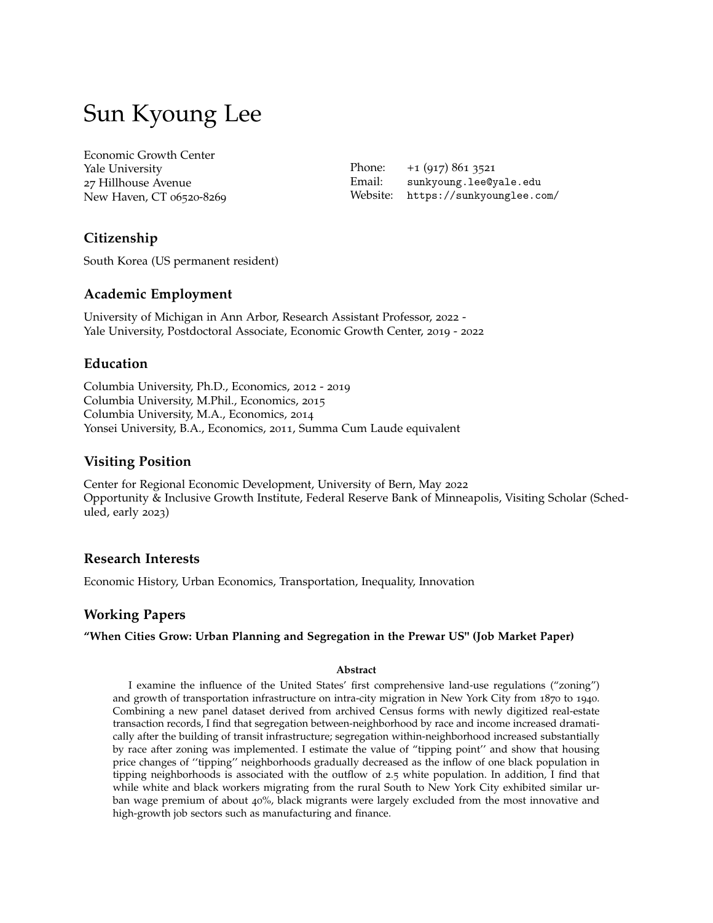# Sun Kyoung Lee

Economic Growth Center Yale University 27 Hillhouse Avenue New Haven, CT 06520-8269

Phone: +1 (917) 861 3521 Email: sunkyoung.lee@yale.edu Website: https://sunkyounglee.com/

# **Citizenship**

South Korea (US permanent resident)

## **Academic Employment**

University of Michigan in Ann Arbor, Research Assistant Professor, 2022 - Yale University, Postdoctoral Associate, Economic Growth Center, 2019 - 2022

## **Education**

Columbia University, Ph.D., Economics, 2012 - 2019 Columbia University, M.Phil., Economics, 2015 Columbia University, M.A., Economics, 2014 Yonsei University, B.A., Economics, 2011, Summa Cum Laude equivalent

## **Visiting Position**

Center for Regional Economic Development, University of Bern, May 2022 Opportunity & Inclusive Growth Institute, Federal Reserve Bank of Minneapolis, Visiting Scholar (Scheduled, early 2023)

## **Research Interests**

Economic History, Urban Economics, Transportation, Inequality, Innovation

## **Working Papers**

## **"When Cities Grow: Urban Planning and Segregation in the Prewar US" (Job Market Paper)**

#### **Abstract**

I examine the influence of the United States' first comprehensive land-use regulations ("zoning") and growth of transportation infrastructure on intra-city migration in New York City from 1870 to 1940. Combining a new panel dataset derived from archived Census forms with newly digitized real-estate transaction records, I find that segregation between-neighborhood by race and income increased dramatically after the building of transit infrastructure; segregation within-neighborhood increased substantially by race after zoning was implemented. I estimate the value of "tipping point'' and show that housing price changes of ''tipping'' neighborhoods gradually decreased as the inflow of one black population in tipping neighborhoods is associated with the outflow of 2.5 white population. In addition, I find that while white and black workers migrating from the rural South to New York City exhibited similar urban wage premium of about 40%, black migrants were largely excluded from the most innovative and high-growth job sectors such as manufacturing and finance.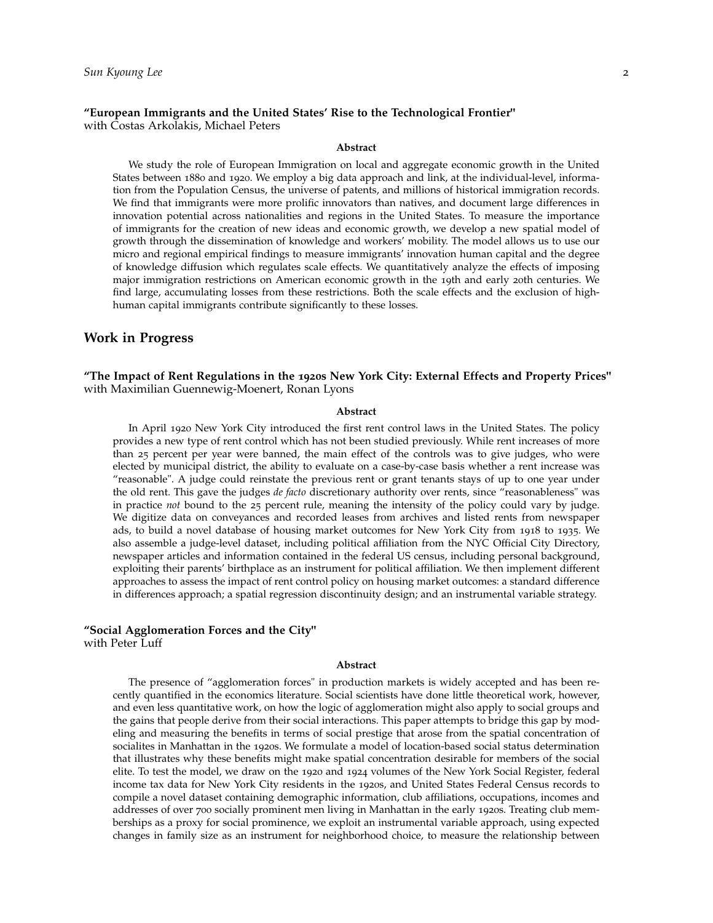#### **"European Immigrants and the United States' Rise to the Technological Frontier"** with Costas Arkolakis, Michael Peters

#### **Abstract**

We study the role of European Immigration on local and aggregate economic growth in the United States between 1880 and 1920. We employ a big data approach and link, at the individual-level, information from the Population Census, the universe of patents, and millions of historical immigration records. We find that immigrants were more prolific innovators than natives, and document large differences in innovation potential across nationalities and regions in the United States. To measure the importance of immigrants for the creation of new ideas and economic growth, we develop a new spatial model of growth through the dissemination of knowledge and workers' mobility. The model allows us to use our micro and regional empirical findings to measure immigrants' innovation human capital and the degree of knowledge diffusion which regulates scale effects. We quantitatively analyze the effects of imposing major immigration restrictions on American economic growth in the 19th and early 20th centuries. We find large, accumulating losses from these restrictions. Both the scale effects and the exclusion of highhuman capital immigrants contribute significantly to these losses.

#### **Work in Progress**

**"The Impact of Rent Regulations in the 1920s New York City: External Effects and Property Prices"** with Maximilian Guennewig-Moenert, Ronan Lyons

#### **Abstract**

In April 1920 New York City introduced the first rent control laws in the United States. The policy provides a new type of rent control which has not been studied previously. While rent increases of more than 25 percent per year were banned, the main effect of the controls was to give judges, who were elected by municipal district, the ability to evaluate on a case-by-case basis whether a rent increase was "reasonable". A judge could reinstate the previous rent or grant tenants stays of up to one year under the old rent. This gave the judges *de facto* discretionary authority over rents, since "reasonableness" was in practice *not* bound to the 25 percent rule, meaning the intensity of the policy could vary by judge. We digitize data on conveyances and recorded leases from archives and listed rents from newspaper ads, to build a novel database of housing market outcomes for New York City from 1918 to 1935. We also assemble a judge-level dataset, including political affiliation from the NYC Official City Directory, newspaper articles and information contained in the federal US census, including personal background, exploiting their parents' birthplace as an instrument for political affiliation. We then implement different approaches to assess the impact of rent control policy on housing market outcomes: a standard difference in differences approach; a spatial regression discontinuity design; and an instrumental variable strategy.

#### **"Social Agglomeration Forces and the City"** with Peter Luff

#### **Abstract**

The presence of "agglomeration forces" in production markets is widely accepted and has been recently quantified in the economics literature. Social scientists have done little theoretical work, however, and even less quantitative work, on how the logic of agglomeration might also apply to social groups and the gains that people derive from their social interactions. This paper attempts to bridge this gap by modeling and measuring the benefits in terms of social prestige that arose from the spatial concentration of socialites in Manhattan in the 1920s. We formulate a model of location-based social status determination that illustrates why these benefits might make spatial concentration desirable for members of the social elite. To test the model, we draw on the 1920 and 1924 volumes of the New York Social Register, federal income tax data for New York City residents in the 1920s, and United States Federal Census records to compile a novel dataset containing demographic information, club affiliations, occupations, incomes and addresses of over 700 socially prominent men living in Manhattan in the early 1920s. Treating club memberships as a proxy for social prominence, we exploit an instrumental variable approach, using expected changes in family size as an instrument for neighborhood choice, to measure the relationship between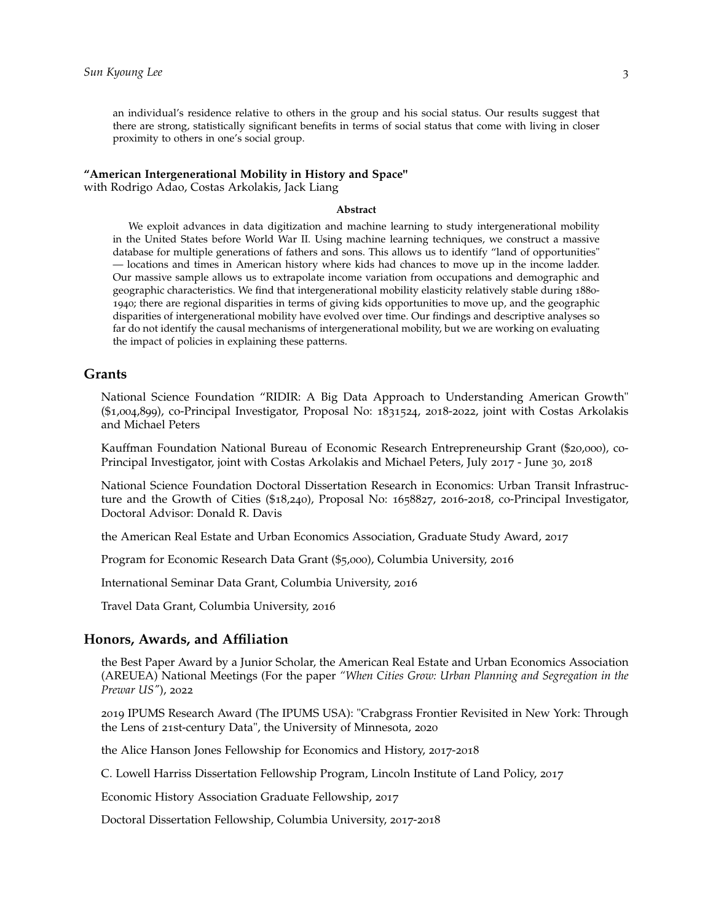an individual's residence relative to others in the group and his social status. Our results suggest that there are strong, statistically significant benefits in terms of social status that come with living in closer proximity to others in one's social group.

#### **"American Intergenerational Mobility in History and Space"**

with Rodrigo Adao, Costas Arkolakis, Jack Liang

#### **Abstract**

We exploit advances in data digitization and machine learning to study intergenerational mobility in the United States before World War II. Using machine learning techniques, we construct a massive database for multiple generations of fathers and sons. This allows us to identify "land of opportunities" — locations and times in American history where kids had chances to move up in the income ladder. Our massive sample allows us to extrapolate income variation from occupations and demographic and geographic characteristics. We find that intergenerational mobility elasticity relatively stable during 1880- 1940; there are regional disparities in terms of giving kids opportunities to move up, and the geographic disparities of intergenerational mobility have evolved over time. Our findings and descriptive analyses so far do not identify the causal mechanisms of intergenerational mobility, but we are working on evaluating the impact of policies in explaining these patterns.

### **Grants**

National Science Foundation "RIDIR: A Big Data Approach to Understanding American Growth" (\$1,004,899), co-Principal Investigator, Proposal No: 1831524, 2018-2022, joint with Costas Arkolakis and Michael Peters

Kauffman Foundation National Bureau of Economic Research Entrepreneurship Grant (\$20,000), co-Principal Investigator, joint with Costas Arkolakis and Michael Peters, July 2017 - June 30, 2018

National Science Foundation Doctoral Dissertation Research in Economics: Urban Transit Infrastructure and the Growth of Cities (\$18,240), Proposal No: 1658827, 2016-2018, co-Principal Investigator, Doctoral Advisor: Donald R. Davis

the American Real Estate and Urban Economics Association, Graduate Study Award, 2017

Program for Economic Research Data Grant (\$5,000), Columbia University, 2016

International Seminar Data Grant, Columbia University, 2016

Travel Data Grant, Columbia University, 2016

### **Honors, Awards, and Affiliation**

the Best Paper Award by a Junior Scholar, the American Real Estate and Urban Economics Association (AREUEA) National Meetings (For the paper *"When Cities Grow: Urban Planning and Segregation in the Prewar US"*), 2022

2019 IPUMS Research Award (The IPUMS USA): "Crabgrass Frontier Revisited in New York: Through the Lens of 21st-century Data", the University of Minnesota, 2020

the Alice Hanson Jones Fellowship for Economics and History, 2017-2018

C. Lowell Harriss Dissertation Fellowship Program, Lincoln Institute of Land Policy, 2017

Economic History Association Graduate Fellowship, 2017

Doctoral Dissertation Fellowship, Columbia University, 2017-2018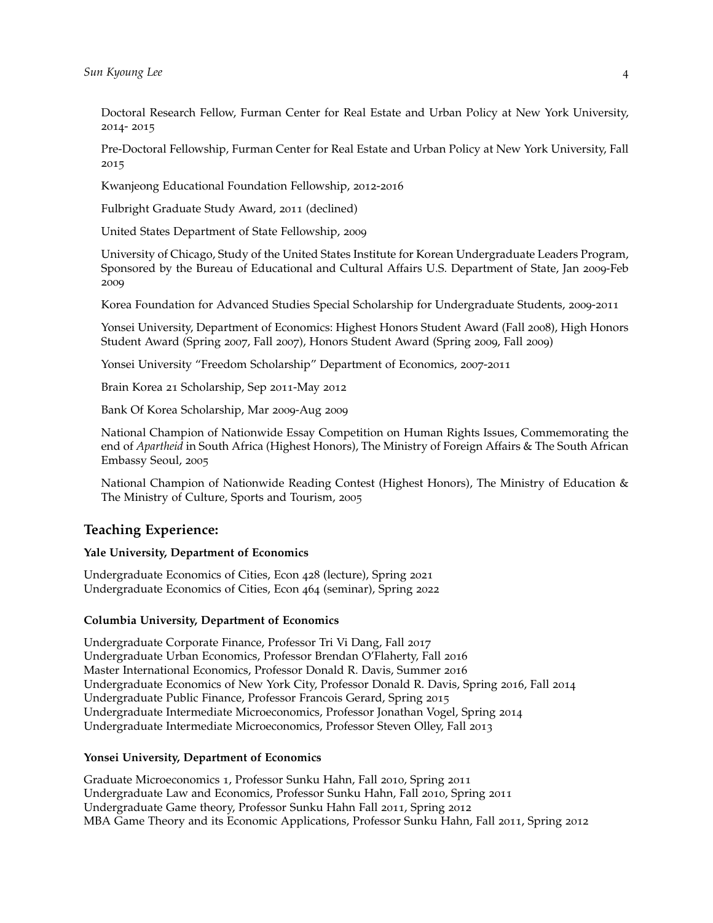Doctoral Research Fellow, Furman Center for Real Estate and Urban Policy at New York University, 2014- 2015

Pre-Doctoral Fellowship, Furman Center for Real Estate and Urban Policy at New York University, Fall 2015

Kwanjeong Educational Foundation Fellowship, 2012-2016

Fulbright Graduate Study Award, 2011 (declined)

United States Department of State Fellowship, 2009

University of Chicago, Study of the United States Institute for Korean Undergraduate Leaders Program, Sponsored by the Bureau of Educational and Cultural Affairs U.S. Department of State, Jan 2009-Feb 2009

Korea Foundation for Advanced Studies Special Scholarship for Undergraduate Students, 2009-2011

Yonsei University, Department of Economics: Highest Honors Student Award (Fall 2008), High Honors Student Award (Spring 2007, Fall 2007), Honors Student Award (Spring 2009, Fall 2009)

Yonsei University "Freedom Scholarship" Department of Economics, 2007-2011

Brain Korea 21 Scholarship, Sep 2011-May 2012

Bank Of Korea Scholarship, Mar 2009-Aug 2009

National Champion of Nationwide Essay Competition on Human Rights Issues, Commemorating the end of *Apartheid* in South Africa (Highest Honors), The Ministry of Foreign Affairs & The South African Embassy Seoul, 2005

National Champion of Nationwide Reading Contest (Highest Honors), The Ministry of Education & The Ministry of Culture, Sports and Tourism, 2005

## **Teaching Experience:**

#### **Yale University, Department of Economics**

Undergraduate Economics of Cities, Econ 428 (lecture), Spring 2021 Undergraduate Economics of Cities, Econ 464 (seminar), Spring 2022

#### **Columbia University, Department of Economics**

Undergraduate Corporate Finance, Professor Tri Vi Dang, Fall 2017 Undergraduate Urban Economics, Professor Brendan O'Flaherty, Fall 2016 Master International Economics, Professor Donald R. Davis, Summer 2016 Undergraduate Economics of New York City, Professor Donald R. Davis, Spring 2016, Fall 2014 Undergraduate Public Finance, Professor Francois Gerard, Spring 2015 Undergraduate Intermediate Microeconomics, Professor Jonathan Vogel, Spring 2014 Undergraduate Intermediate Microeconomics, Professor Steven Olley, Fall 2013

#### **Yonsei University, Department of Economics**

Graduate Microeconomics 1, Professor Sunku Hahn, Fall 2010, Spring 2011 Undergraduate Law and Economics, Professor Sunku Hahn, Fall 2010, Spring 2011 Undergraduate Game theory, Professor Sunku Hahn Fall 2011, Spring 2012 MBA Game Theory and its Economic Applications, Professor Sunku Hahn, Fall 2011, Spring 2012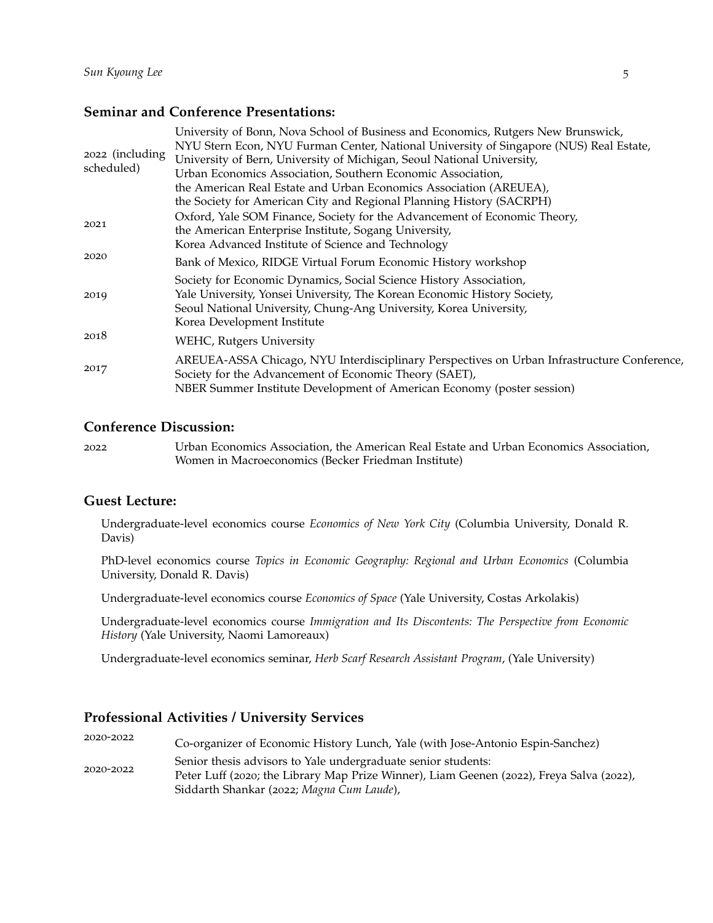## **Seminar and Conference Presentations:**

| 2022 (including<br>scheduled) | University of Bonn, Nova School of Business and Economics, Rutgers New Brunswick,<br>NYU Stern Econ, NYU Furman Center, National University of Singapore (NUS) Real Estate,<br>University of Bern, University of Michigan, Seoul National University, |
|-------------------------------|-------------------------------------------------------------------------------------------------------------------------------------------------------------------------------------------------------------------------------------------------------|
|                               | Urban Economics Association, Southern Economic Association,                                                                                                                                                                                           |
|                               | the American Real Estate and Urban Economics Association (AREUEA),                                                                                                                                                                                    |
|                               | the Society for American City and Regional Planning History (SACRPH)                                                                                                                                                                                  |
| 2021                          | Oxford, Yale SOM Finance, Society for the Advancement of Economic Theory,<br>the American Enterprise Institute, Sogang University,                                                                                                                    |
| 2020                          | Korea Advanced Institute of Science and Technology                                                                                                                                                                                                    |
|                               | Bank of Mexico, RIDGE Virtual Forum Economic History workshop                                                                                                                                                                                         |
| 2019                          | Society for Economic Dynamics, Social Science History Association,<br>Yale University, Yonsei University, The Korean Economic History Society,<br>Seoul National University, Chung-Ang University, Korea University,<br>Korea Development Institute   |
| 2018                          | WEHC, Rutgers University                                                                                                                                                                                                                              |
| 2017                          | AREUEA-ASSA Chicago, NYU Interdisciplinary Perspectives on Urban Infrastructure Conference,<br>Society for the Advancement of Economic Theory (SAET),<br>NBER Summer Institute Development of American Economy (poster session)                       |
|                               |                                                                                                                                                                                                                                                       |

## **Conference Discussion:**

| 2022 | Urban Economics Association, the American Real Estate and Urban Economics Association, |
|------|----------------------------------------------------------------------------------------|
|      | Women in Macroeconomics (Becker Friedman Institute)                                    |

## **Guest Lecture:**

Undergraduate-level economics course *Economics of New York City* (Columbia University, Donald R. Davis)

PhD-level economics course *Topics in Economic Geography: Regional and Urban Economics* (Columbia University, Donald R. Davis)

Undergraduate-level economics course *Economics of Space* (Yale University, Costas Arkolakis)

Undergraduate-level economics course *Immigration and Its Discontents: The Perspective from Economic History* (Yale University, Naomi Lamoreaux)

Undergraduate-level economics seminar, *Herb Scarf Research Assistant Program*, (Yale University)

## **Professional Activities / University Services**

<sup>2020</sup>-<sup>2022</sup> Co-organizer of Economic History Lunch, Yale (with Jose-Antonio Espin-Sanchez) Senior thesis advisors to Yale undergraduate senior students:<br> $2020-2022$ Peter Luff (2020; the Library Map Prize Winner), Liam Geenen (2022), Freya Salva (2022), Siddarth Shankar (2022; *Magna Cum Laude*),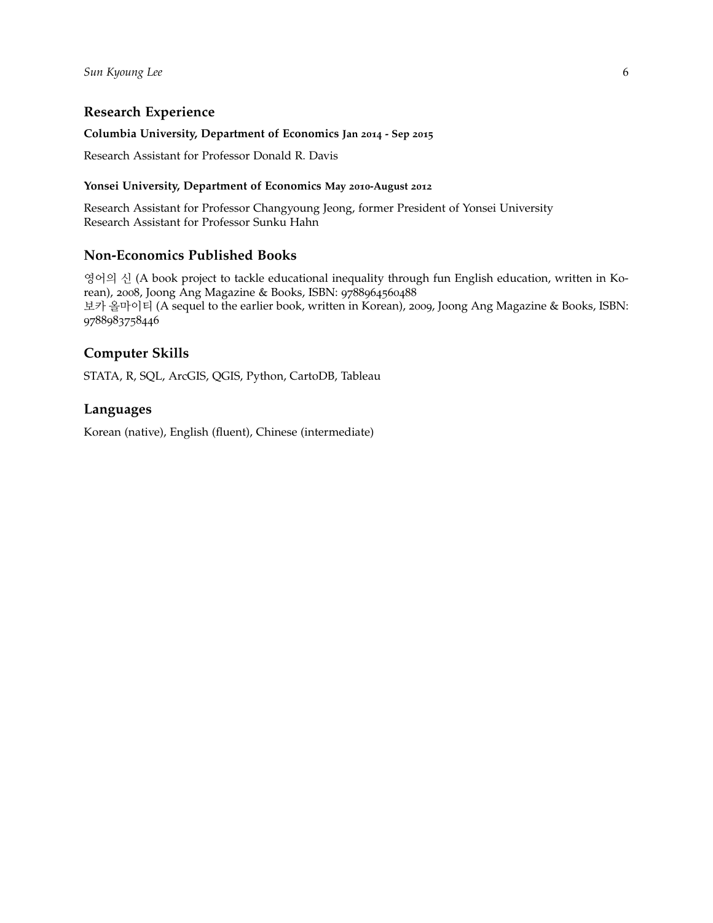## **Research Experience**

## **Columbia University, Department of Economics Jan 2014 - Sep 2015**

Research Assistant for Professor Donald R. Davis

## **Yonsei University, Department of Economics May 2010-August 2012**

Research Assistant for Professor Changyoung Jeong, former President of Yonsei University Research Assistant for Professor Sunku Hahn

## **Non-Economics Published Books**

영어의 신 (A book project to tackle educational inequality through fun English education, written in Korean), 2008, Joong Ang Magazine & Books, ISBN: 9788964560488 보카 올마이티 (A sequel to the earlier book, written in Korean), 2009, Joong Ang Magazine & Books, ISBN: 9788983758446

# **Computer Skills**

STATA, R, SQL, ArcGIS, QGIS, Python, CartoDB, Tableau

## **Languages**

Korean (native), English (fluent), Chinese (intermediate)